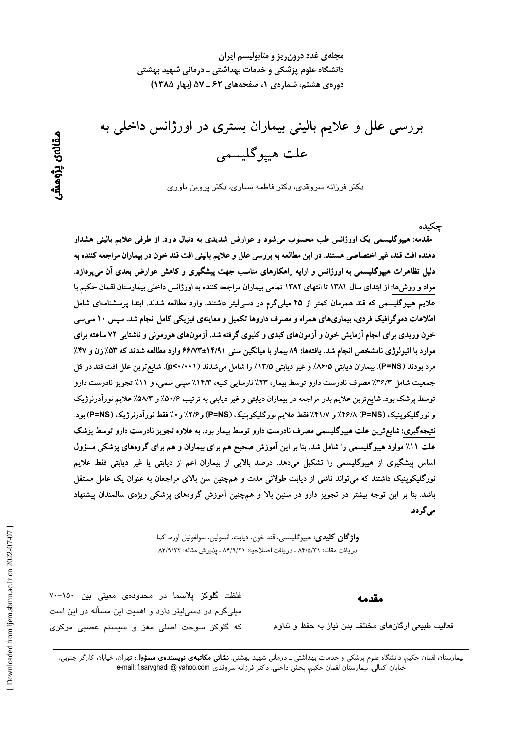مجلهی غدد درون ریز و متابولیسم ایران دانشگاه علوم پزشکی و خدمات بهداشتی ــ درمانی شهید بهشتی دوره یه هشتم، شماره ی ۱، صفحههای ۶۲ ـ ۵۷ (بهار ۱۳۸۵)

بررسی علل و علایم بالینی بیماران بستری در اورژانس داخلی به علت هييوگليسمي

دکتر فرزانه سروقدی، دکتر فاطمه بساری، دکتر پروین یاوری

مقدمه: هیپوگلیسمی یک اورژانس طب محسوب میشود و عوارض شدیدی به دنبال دارد. از طرفی علایم بالینی هشدار دهنده افت قند، غیر اختصاصی هستند. در این مطالعه به بررسی علل و علایم بالینی افت قند خون در بیماران مراجعه کننده به دلیل تظاهرات هیپوگلیسمی به اورژانس و ارایه راهکارهای مناسب جهت پیشگیری و کاهش عوارض بعدی آن می,پردازد. مواد و روشها: از ابتدای سال ۱۳۸۱ تا انتهای ۱۳۸۲ تمامی بیماران مراجعه کننده به اورژانس داخلی بیمارستان لقمان حکیم با علایم هیپوگلیسمی که قند همزمان کمتر از ۴۵ میلیگرم در دسی لیتر داشتند، وارد مطالعه شدند. ابتدا پرسشنامهای شامل اطلاعات دموگرافیک فردی، بیماریهای همراه و مصرف داروها تکمیل و معاینهی فیزیکی کامل انجام شد. سپس ۱۰ سی سی خون وریدی برای انجام اَزمایش خون و اَزمونهای کبدی و کلیوی گرفته شد. اَزمونهای هورمونی و ناشتایی ۷۲ ساعته برای موارد با اتیولوژی نامشخص انجام شد. یافتهها: ۸۹ بیمار با میانگین سنی ۱۴/۹۱±۶۶/۷۳ وارد مطالعه شدند که ۵۳٪ زن و ۴۷٪ مرد بودند (P=NS). بیماران دیابتی ۸۶/۵٪ و غیر دیابتی ۱۳/۵٪ را شامل میشدند (p<۰/۰۰۱). شایع ترین علل افت قند در کل جمعیت شامل ۳۶/۳٪ مصرف نادرست دارو توسط بیمار، ۲۳٪ نارسایی کلیه، ۱۴/۳٪ سپتی سمی، و ۱۱٪ تجویز نادرست دارو توسط پزشک بود. شایع ترین علایم بدو مراجعه در بیماران دیابتی و غیر دیابتی به ترتیب ۵۰/۶٪ و ۵۸/۳٪ علایم نورآدرنرژیک و نورگلیکوینیک (P=NS) ۴۶/۸/ و ۴۱/۷٪ فقط علایم نورگلیکوینیک (P=NS) و ۲/۶٪ و ۰٪ فقط نورآدرنرژیک (P=NS) بود. نتیجهگیری: شایع ترین علت هیپوگلیسمی مصرف نادرست دارو توسط بیمار بود. به علاوه تجویز نادرست دارو توسط پزشک علت ۱۱٪ موارد هیپوگلیسمی را شامل شد. بنا بر این آموزش صحیح هم برای بیماران و هم برای گروههای پزشکی مسؤول اساس پیشگیری از هیپوگلیسمی را تشکیل میدهد. درصد بالایی از بیماران اعم از دیابتی یا غیر دیابتی فقط علایم نورگلیکوپنیک داشتند که میتواند ناشی از دیابت طولانی مدت و همچنین سن بالای مراجعان به عنوان یک عامل مستقل باشد. بنا بر این توجه بیشتر در تجویز دارو در سنین بالا و همچنین أموزش گروههای پزشکی ویژهی سالمندان پیشنهاد مے گر دد.

> واژگان كليدي: هييوگليسمي، قند خون، ديابت، انسولين، سولفونيل اوره، كما دريافت مقاله: ٨۴/٥/٣١ ـ دريافت اصلاحيه: ٨۴/٩/٢١ ـ پذيرش مقاله: ٨۴/٩/٢٢

> > مقدمه

حكىدە

فعالیت طبیعی ارگانهای مختلف بدن نیاز به حفظ و تداوم

غلظت گلوکز پلاسما در محدودهی معینی بین ۱۵۰–۷۰ میلیگرم در دسیلیتر دارد و اهمیت این مسأله در این است که گلوکز سوخت اصلی مغز و سیستم عصبی مرکزی

بیمارستان لقمان حکیم، دانشگاه علوم پزشکی و خدمات بهداشتی ــ درمانی شهید بهشتی، **نشانی مکاتبهی نویسندهی مسؤول:** تهران، خیابان کارگر جنوبی، خیابان کمالی، بیمارستان لقمان حکیم، بخش داخلی، دکتر فرزانه سروقدی e-mail: f.sarvghadi @ yahoo.com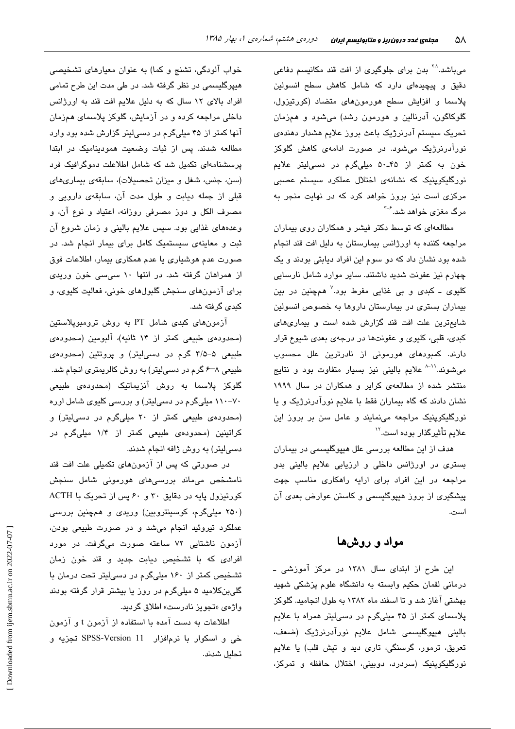میباشد.<sup>۲۰</sup> بدن برای جلوگیری از افت قند مکانیسم دفاعی دقیق و پیچیدهای دارد که شامل کاهش سطح انسولین پلاسما و افزایش سطح هورمونهای متضاد (کورتیزول، گلوکاگون، آدرنالین و هورمون رشد) میشود و همزمان تحریک سیستم آدرنرژیک باعث بروز علایم هشدار دهندهی نورآدرنرژیک میشود. در صورت ادامهی کاهش گلوکز خون به کمتر از ۴۵-۵۰ میلیگرم در دسی لیتر علایم نورگلیکوپنیک که نشانهی اختلال عملکرد سیستم عصبی مرکزی است نیز بروز خواهد کرد که در نهایت منجر به مرگ مغزی خواهد شد.<sup>۶-۳</sup>

مطالعهای که توسط دکتر فیشر و همکاران روی بیماران مراجعه کننده به اورژانس بیمارستان به دلیل افت قند انجام شده بود نشان داد که دو سوم این افراد دیابتی بودند و یک چهارم نیز عفونت شدید داشتند. سایر موارد شامل نارسایی کليوی ــ کبدی و بی غذايی مفرط بود.<sup>۷</sup> همچنين در بين بیماران بستری در بیمارستان داروها به خصوص انسولین شایع ترین علت افت قند گزارش شده است و بیماری های کبدی، قلبی، کلیوی و عفونتها در درجهی بعدی شیوع قرار دارند. کمبودهای هورمونی از نادرترین علل محسوب میشوند.''<sup>-۸</sup> علایم بالینی نیز بسیار متفاوت بود و نتایج منتشر شده از مطالعهی کرایر و همکاران در سال ۱۹۹۹ نشان دادند که گاه بیماران فقط با علایم نورآدرنرژیک و یا نورگلیکوپنیک مراجعه مینمایند و عامل سن بر بروز این علائم تأثيرگذار بوده است.''

هدف از این مطالعه بررسی علل هیپوگلیسمی در بیماران بستری در اورژانس داخلی و ارزیابی علایم بالینی بدو مراجعه در این افراد برای ارایه راهکاری مناسب جهت پیشگیری از بروز هیپوگلیسمی و کاستن عوارض بعدی آن است.

### مواد و روشها

این طرح از ابتدای سال ۱۳۸۱ در مرکز آموزشی ـ درمانی لقمان حکیم وابسته به دانشگاه علوم پزشکی شهید بهشتی آغاز شد و تا اسفند ماه ۱۳۸۲ به طول انجامید. گلوکز پلاسمای کمتر از ۴۵ میلیگرم در دسیلیتر همراه با علایم بالینی هیپوگلیسمی شامل علایم نورآدرنرژیک (ضعف، تعریق، ترمور، گرسنگی، تاری دید و تپش قلب) یا علایم نورگلیکوپنیک (سردرد، دوبینی، اختلال حافظه و تمرکز،

خواب آلودگی، تشنج و کما) به عنوان معیارهای تشخیصی هیپوگلیسمی در نظر گرفته شد. در طی مدت این طرح تمامی افراد بالای ١٢ سال که به دلیل علایم افت قند به اورژانس داخلی مراجعه کرده و در آزمایش، گلوکز پلاسمای همزمان آنها کمتر از ۴۵ میلیگرم در دسی لیتر گزارش شده بود وارد مطالعه شدند. پس از ثبات وضعیت همودینامیک در ابتدا پرسشنامهای تکمیل شد که شامل اطلاعلت دموگرافیک فرد (سن، جنس، شغل و میزان تحصیلات)، سابقهی بیماریهای قبلی از جمله دیابت و طول مدت آن، سابقهی دارویی و مصرف الكل و دوز مصرفى روزانه، اعتياد و نوع آن، و وعدههای غذایی بود. سپس علایم بالینی و زمان شروع آن ثبت و معاینهی سیستمیک کامل برای بیمار انجام شد. در صورت عدم هوشیاری یا عدم همکاری بیمار، اطلاعات فوق از همراهان گرفته شد. در انتها ۱۰ سیسی خون وریدی براي آزمونهاي سنجش گلبولهاي خوني، فعاليت كليوي، و کىدى گرفتە شد.

آزمونهای کبدی شامل PT به روش ترومبوپلاستین (محدودهى طبيعى كمتر از ١۴ ثانيه)، آلبومين (محدودهى طبیعی ۵–۳/۵ گرم در دسی!یتر) و پروتئین (محدودهی طبیعی ۸<sup>ـــو</sup> گرم در دسـیلیتر) به روش کالریمتری انجام شد. گلوکز یلاسما به روش آنزیماتیک (محدوده*ی* طبیعی ۷۰–۱۱۰ میلیگرم در دسهایتر) و بررسی کلیوی شامل اوره (محدودهى طبيعى كمتر از ٢٠ ميلى گرم در دسى ليتر) و کراتینین (محدودهی طبیعی کمتر از ۱/۴ میلیگرم در دسیلیتر) به روش ژافه انجام شدند.

در صورتی که پس از آزمونهای تکمیلی علت افت قند نامشخص می،اند بررسیهای هورمونی شامل سنجش کورتیزول پایه در دقایق ۳۰ و ۶۰ پس از تحریک با ACTH (۲۵۰ میلیگرم، کوسینتروبین) وریدی و همچنین بررسی عملکرد تیروئید انجام میشد و در صورت طبیعی بودن، آزمون ناشتایی ۷۲ ساعته صورت میگرفت. در مورد افرادی که با تشخیص دیابت جدید و قند خون زمان تشخیص کمتر از ۱۶۰ میلیگرم در دسی لیتر تحت درمان با گلیبنکلامید ۵ میلیگرم در روز یا بیشتر قرار گرفته بودند واژە*ی* «تجویز نادرست» اطلاق گردید.

اطلاعات به دست آمده با استفاده از آزمون t و آزمون خي و اسكوار با نرمافزار SPSS-Version 11 تجزيه و تحليل شدند.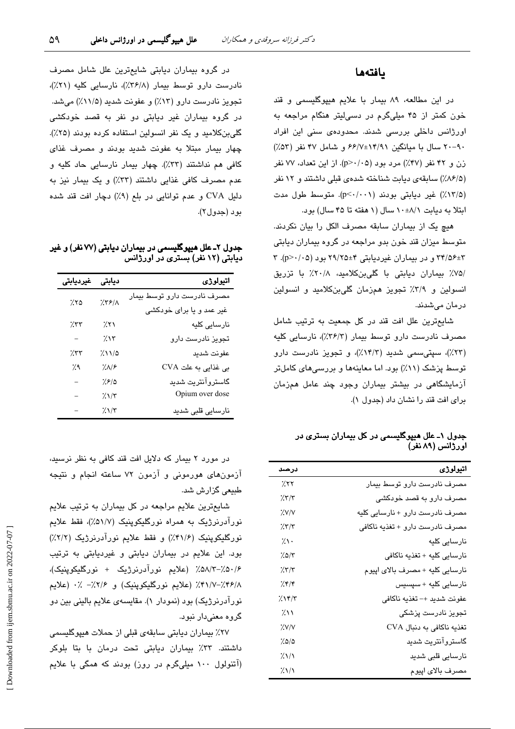#### بافتهها

در این مطالعه، ۸۹ بیمار با علایم هیپوگلیسمی و قند خون کمتر از ۴۵ میلیگرم در دسی لیتر هنگام مراجعه به اورژانس داخلی بررسی شدند. محدودهی سنی این افراد ۹۰–۲۰ سال با میانگین ۱۴/۷±۱۴/۹۱ و شامل ۴۷ نفر (۵۳٪) زن و ۴۲ نفر (۴۷٪) مرد بود (p>۰/۰۵). از این تعداد، ۷۷ نفر (۸۶/۵٪) سابقهی دیابت شناخته شدهی قبلی داشتند و ١٢ نفر (١٣/۵٪) غير ديايتي بودند (p<٠/٠٠١). متوسط طول مدت ابتلا به دیابت ١٠±١٠ سال (١ هفته تا ۴۵ سال) بود.

هیچ یک از بیماران سابقه مصرف الکل را بیان نکردند. متوسط میزان قند خون بدو مراجعه در گروه بیماران دیابتی ٣+٣/٥۶ و در بيماران غيرديابتي ٢٩/٢٥+ بود (p>٠/٠٥). ٣ /۷۵٪ بیماران دیابتی با گلیبنکلامید، ۲۰/۸٪ با تزریق انسولین و ۳/۹٪ تجویز همزمان گلی بنکلامید و انسولین درمان میشدند.

شايعترين علل افت قند در كل جمعيت به ترتيب شامل مصرف نادرست دارو توسط بیمار (۳۶/۳٪)، نارسایی کلیه (۲۳٪)، سپتی سمی شدید (۱۴/۳٪)، و تجویز نادرست دارو توسط پزشک (۱۱٪) بود. اما معاینهها و بررسی های کاملتر آزمایشگاهی در بیشتر بیماران وجود چند عامل همزمان برای افت قند را نشان داد (جدول ۱).

جدول ۱ــ علل هیپوگلیسمی در کل بیماران بستری در اورژانس (۸۹ نفر)

| درصد                                 | اتيولوژي                        |
|--------------------------------------|---------------------------------|
| 7.57                                 | مصرف نادرست دارو توسط بیمار     |
| 7.77                                 | مصرف دارو به قصد خودکشی         |
| X'                                   | مصرف نادرست دارو + نارسایی کلیه |
| 257/5                                | مصرف نادرست دارو + تغذيه ناكافي |
| ۰۱٪                                  | نارسایی کلیه                    |
| ۷۵/۳٪                                | نارسايي كليه + تغذيه ناكافي     |
| 7.77                                 | نارسایی کلیه + مصرف بالای اپیوم |
| ۶۴/۴/                                | نارسايى كليه + سپسيس            |
| 255/7                                | عفونت شديد +– تغذيه ناكافي      |
| $\lambda$                            | تجویز نادرست پزشکی              |
| '/.V/V                               | تغذيه ناكافي به دنبال CVA       |
| 7.0/0                                | گاستروآنتریت شدید               |
| $\frac{2}{\lambda}\frac{1}{\lambda}$ | نارسایی قلبی شدید               |
| $\frac{2}{\lambda}\frac{1}{\lambda}$ | مصرف بالاي اپيوم                |

در گروه بیماران دیابتی شایعترین علل شامل مصرف نادرست دارو توسط بیمار (٣۶/٨٪)، نارسایی کلیه (٢١٪)، تجویز نادرست دارو (۱۳٪) و عفونت شدید (۱۱٪٪) میشد. در گروه بیماران غیر دیابتی دو نفر به قصد خودکشی گلی بنکلامید و یک نفر انسولین استفاده کرده بودند (۲۵٪). چهار بیمار مبتلا به عفونت شدید بودند و مصرف غذای کافی هم نداشتند (۳۳٪). چهار بیمار نارسایی حاد کلیه و عدم مصرف کافی غذایی داشتند (٣٣٪) و یک بیمار نیز به دلیل CVA و عدم توانایی در بلع (۹٪) دچار افت قند شده بود (جدول٢).

جدول ۲ـ علل هیپوگلیسمی در بیماران دیابتی (۷۷ نفر) و غیر دیابتی (۱۲ نفر) بستری در اورژانس

| غيرديابتى                | ديابتى                   | اتيولوژي                    |
|--------------------------|--------------------------|-----------------------------|
| ۲۵٪                      | $X5/(\lambda)$           | مصرف نادرست دارو توسط بیمار |
|                          |                          | غیر عمد و یا برای خودکشی    |
| 7.۳۳                     | 7.71                     | نارسایی کلیه                |
| $\overline{\phantom{0}}$ | 7.15                     | تجویز نادرست دارو           |
| 7.۳۳                     | $2\lambda\lambda/\Delta$ | عفونت شديد                  |
| %،                       | $!/N$ ۶                  | بی غذایی به علت CVA         |
|                          | ۱٫۶/۵                    | گاستروآنتریت شدید           |
|                          | $7.1/\tau$               | Opium over dose             |
|                          | $7/\gamma$               | نارسایی قلبی شدید           |

در مورد ۲ بیمار که دلایل افت قند کافی به نظر نرسید، آزمونهای هورمونی و آزمون ۷۲ ساعته انجام و نتیجه طبیعی گزارش شد.

شايعترين علايم مراجعه در كل بيماران به ترتيب علايم نورآدرنرژیک به همراه نورگلیکوینیک (۵۱/۷٪)، فقط علایم نورگلیکوپنیک (۴۱/۶٪) و فقط علایم نورآدرنرژیک (۲/۲٪) بود. این علایم در بیماران دیابتی و غیردیابتی به ترتیب ۰/۶٪-۵۸٪۳٪ (علایم نورآدرنرژیک + نورگلیکوپنیک)، ۴۱/۷-٬۴۶/۸): (علایم نورگلیکوینیک) و ۲/۶٪– ٪۰ (علایم نورآدرنرژیک) بود (نمودار ۱). مقایسهی علایم بالینی بین دو گروه معنیدار نبود.

٢٧٪ بیماران دیابتی سابقهی قبلی از حملات هیپوگلیسمی داشتند. ۳۳٪ بیماران دیابتی تحت درمان با بتا بلوکر (آتنولول ۱۰۰ میلیگرم در روز) بودند که همگی با علایم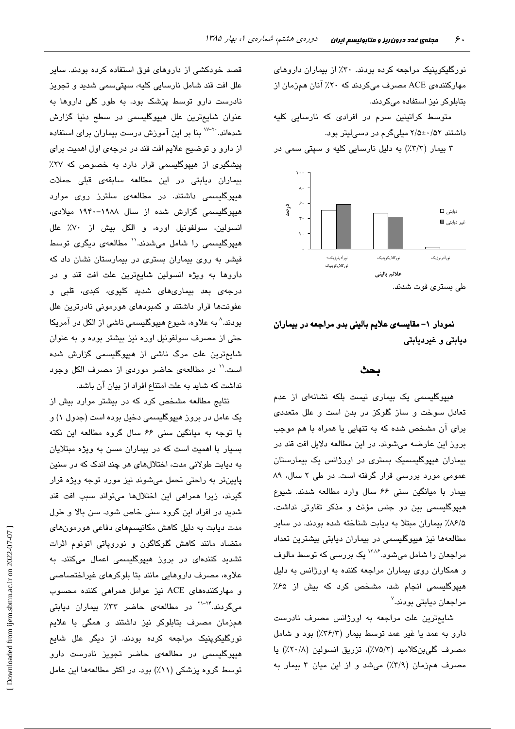نورگلیکوینیک مراجعه کرده بودند. ۳۰٪ از بیماران داروهای مهارکنندهی ACE مصرف میکردند که ۲۰٪ آنان همزمان از بتابلوکر نیز استفاده میکردند.

متوسط کراتینین سرم در افرادی که نارسایی کلیه داشتند ۵۲/۰±۲/۵ میلیگرم در دسی لیتر بود.

۳ بیمار (۳/۳٪) به دلیل نارسایی کلیه و سپتی سمی در



طی بستری فوت شدند.

## نمودار ١– مقايسهي علايم باليني بدو مراجعه در بيماران دیابتی و غیردیابتی

#### بحث

هیپوگلیسمی یک بیماری نیست بلکه نشانهای از عدم تعادل سوخت و ساز گلوکز در بدن است و علل متعددی برای آن مشخص شده که به تنهایی یا همراه با هم موجب بروز این عارضه میشوند. در این مطالعه دلایل افت قند در بیماران هیپوگلیسمیک بستری در اورژانس یک بیمارستان عمومی مورد بررسی قرار گرفته است. در طی ۲ سال، ۸۹ بیمار با میانگین سنی ۶۶ سال وارد مطالعه شدند. شیوع هیپوگلیسمی بین دو جنس مؤنث و مذکر تفاوتی نداشت. ۰/۶/۵٪ بیماران مبتلا به دیابت شناخته شده بودند. در سایر مطالعهها نیز هیپوگلیسمی در بیماران دیابتی بیشترین تعداد مراجعان را شامل میشود.<sup>۱۳۸۶</sup> یک بررس*ی* که توسط مالوف و همکاران روی بیماران مراجعه کننده به اورژانس به دلیل هیپوگلیسمی انجام شد، مشخص کرد که بیش از ۶۵٪ مراجعان دیابتی بودند.<sup>۷</sup>

شایعترین علت مراجعه به اورژانس مصرف نادرست دارو به عمد یا غیر عمد توسط بیمار (٣۶/٣٪) بود و شامل مصرف گلیبنکلامید (٧٥/٣٪)، تزریق انسولین (٢٠/٨٪) یا مصرف همزمان (٣/٩٪) می شد و از این میان ٣ بیمار به

قصد خودکشی از داروهای فوق استفاده کرده بودند. سایر علل افت قند شامل نارسایی کلیه، سپتیسمی شدید و تجویز نادرست دارو توسط پزشک بود. به طور کلی داروها به عنوان شايعترين علل هيپوگليسمى در سطح دنيا گزارش شدهاند. <sup>۲۰-۱۷</sup> بنا بر این آموزش درست بیماران برای استفاده از دارو و توضیح علایم افت قند در درجهی اول اهمیت برای پیشگیری از هیپوگلیسمی قرار دارد به خصوص که ۲۷٪ بیماران دیابتی در این مطالعه سابقهی قبلی حملات هیپوگلیسمی داشتند. در مطالعهی سلترز روی موارد هیپوگلیسمی گزارش شده از سال ۱۹۸۸–۱۹۴۰ میلادی، انسولین، سولفونیل اوره، و الکل بیش از ۷۰٪ علل هیپوگلیسمی را شامل میشدند.'' مطالعهی دیگری توسط فیشر به روی بیماران بستری در بیمارستان نشان داد که داروها به ویژه انسولین شایعترین علت افت قند و در درجهی بعد بیماریهای شدید کلیوی، کبدی، قلبی و عفونتها قرار داشتند و کمبودهای هورمونی نادرترین علل بودند.^ به علاوه، شیوع هیپوگلیسمی ناشی از الکل در آمریکا حتی از مصرف سولفونیل اوره نیز بیشتر بوده و به عنوان شایعترین علت مرگ ناشی از هیپوگلیسمی گزارش شده است.'' در مطالعهی حاضر موردی از مصرف الکل وجود نداشت که شاید به علت امتناع افراد از بیان آن باشد.

نتایج مطالعه مشخص کرد که در بیشتر موارد بیش از یک عامل در بروز هیپوگلیسمی دخیل بوده است (جدول ۱) و با توجه به میانگین سنی ۶۶ سال گروه مطالعه این نکته بسیار با اهمیت است که در بیماران مسن به ویژه مبتلایان به دیابت طولانی مدت، اختلالهای هر چند اندک که در سنین پايينتر به راحتي تحمل ميشوند نيز مورد توجه ويژه قرار گیرند، زیرا همراهی این اختلالها میتواند سبب افت قند شدید در افراد این گروه سنی خاص شود. سن بالا و طول مدت دیابت به دلیل کاهش مکانیسمهای دفاعی هورمونهای متضاد مانند کاهش گلوکاگون و نوروپاتی اتونوم اثرات تشدید کنندهای در بروز هیپوگلیسمی اعمال میکنند. به علاوه، مصرف داروهایی مانند بتا بلوکرهای غیراختصاصی و مهارکنندههای ACE نیز عوامل همراهی کننده محسوب می،گردند.<sup>۲۴–۲۱</sup> در مطالعهی حاضر ۳۳٪ بیماران دیابتی همزمان مصرف بتابلوکر نیز داشتند و همگی با علایم نورگلیکوپنیک مراجعه کرده بودند. از دیگر علل شایع هیپوگلیسم*ی در مطالعهی حاضر تجویز نادرست دارو* توسط گروه پزشکی (۱۱٪) بود. در اکثر مطالعهها این عامل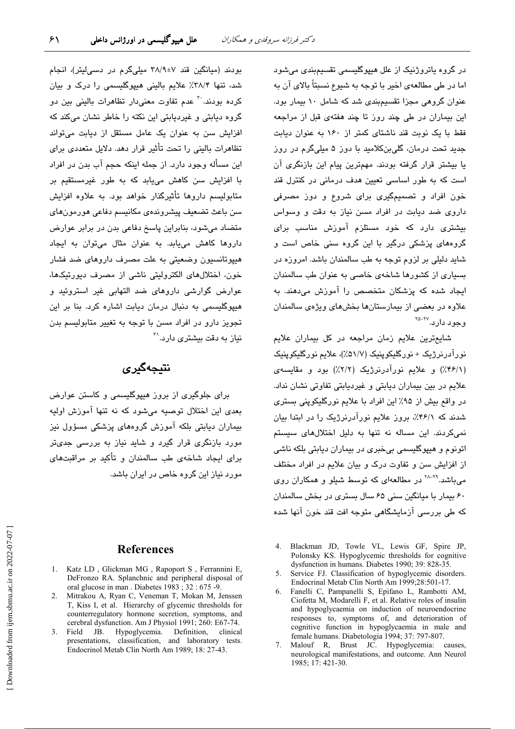در گروہ پاتروژنیک از علل هیپوگلیسمی تقسیمبندی میشود اما در طی مطالعهی اخیر با توجه به شیوع نسبتاً بالای آن به عنوان گروهی مجزا تقسیمبندی شد که شامل ۱۰ بیمار بود. این بیماران در طی چند روز تا چند هفتهی قبل از مراجعه فقط با یک نوبت قند ناشتای کمتر از ۱۶۰ به عنوان دیابت جدید تحت درمان، گلیبنکلامید با دوز ۵ میلیگرم در روز یا بیشتر قرار گرفته بودند. مهمترین پیام این بازنگری آن است که به طور اساسی تعیین هدف درمانی در کنترل قند خون افراد و تصمیمگیری برای شروع و دوز مصرفی داروی ضد دیابت در افراد مسن نیاز به دقت و وسواس ىىشترى دارد كە خود مستلزم آموزش مناسب برا*ى* گروههای پزشکی درگیر با این گروه سنی خاص است و شاید دلیلی بر لزوم توجه به طب سالمندان باشد. امروزه در بسیاری از کشورها شاخهی خاصی به عنوان طب سالمندان ایجاد شده که پزشکان متخصص را آموزش میدهند. به علاوه در بعضی از بیمارستانها بخشهای ویژهی سالمندان وجود دار د.~~~~

شايعترين علايم زمان مراجعه در كل بيماران علايم نورآدرنرژیک + نورگلیکوپنیک (۵۱/۷٪)، علایم نورگلیکوپنیک (۴۶/۱٪) و علایم نورآدرنرژیک (۲/۲٪) بود و مقایسهی علائم در بین بیماران دیابتی و غیردیابتی تفاوتی نشان نداد. در واقع بیش از ۹۵٪ این افراد با علایم نورگلیکوینی بستری شدند که ۴۶/۱٪، بروز علایم نورآدرنرژیک را در ابتدا بیان نمی کردند. این مساله نه تنها به دلیل اختلالهای سیستم اتونوم و هیپوگلیسمی بی خبری در بیماران دیابتی بلکه ناشی از افزایش سن و تفاوت درک و بیان علایم در افراد مختلف می باشد.<sup>۲۹-۲۸</sup> در مطالعهای که توسط شبلو و همکاران روی ۶۰ بیمار با میانگین سنی ۶۵ سال بستری در بخش سالمندان که طی بررسی آزمایشگاهی متوجه افت قند خون آنها شده

- 4. Blackman JD, Towle VL, Lewis GF, Spire JP, Polonsky KS. Hypoglycemic thresholds for cognitive dysfunction in humans. Diabetes 1990; 39: 828-35.
- Service FJ. Classification of hypoglycemic disorders.  $\mathcal{F}$ Endocrinal Metab Clin North Am 1999;28:501-17.
- 6. Fanelli C, Pampanelli S, Epifano L, Rambotti AM, Ciofetta M, Modarelli F, et al. Relative roles of insulin and hypoglycaemia on induction of neuroendocrine responses to, symptoms of, and deterioration of cognitive function in hypoglycaemia in male and female humans. Diabetologia 1994; 37: 797-807.
- 7. Malouf R, Brust JC. Hypoglycemia: causes, neurological manifestations, and outcome. Ann Neurol 1985: 17: 421-30.

بودند (میانگین قند ۷±۳۸/۹ میلیگرم در دسی لیتر)، انجام شد، تنها ۳۸/۴٪ علایم بالینی هیپوگلیسمی را درک و بیان کرده بودند. <sup>۳</sup> عدم تفاوت معنیدار تظاهرات بالینی بین دو گروه دیابتی و غیردیابتی این نکته را خاطر نشان میکند که افزایش سن به عنوان یک عامل مستقل از دیابت میتواند تظاهرات بالینی را تحت تأثیر قرار دهد. دلایل متعددی برای این مسأله وجود دارد. از جمله اینکه حجم آب بدن در افراد با افزایش سن کاهش مییابد که به طور غیرمستقیم بر متابولیسم داروها تأثیرگذار خواهد بود. به علاوه افزایش سن باعث تضعيف پيشروندەي مكانيسم دفاعى هورمون هاي متضاد میشود، بنابراین پاسخ دفاعی بدن در برابر عوارض داروها کاهش میبابد. به عنوان مثال میتوان به ایجاد هیپوتانسیون وضعیتی به علت مصرف داروهای ضد فشار خون، اختلالهای الکترولیتی ناشی از مصرف دیورتیکها، عوارض گوارشی داروهای ضد التهابی غیر استروئید و هیپوگلیسمی به دنبال درمان دیابت اشاره کرد. بنا بر این تجویز دارو در افراد مسن با توجه به تغییر متابولیسم بدن نیان به دقت بیشتر ی دار د.<sup>۳۱</sup>

# نتیجەگیر*ى*

برای جلوگیری از بروز هیپوگلیسمی و کاستن عوارض بعدی این اختلال توصیه میشود که نه تنها آموزش اولیه بیماران دیابتی بلکه آموزش گروههای پزشکی مسؤول نیز <sub>مورد</sub> بازنگری قرار گیرد و شاید نیاز به بررسی جدیتر برای ایجاد شاخهی طب سالمندان و تأکید بر مراقبتهای مورد نیاز این گروه خاص در ایران پاشد.

#### **References**

- 1. Katz LD, Glickman MG, Rapoport S, Ferrannini E, DeFronzo RA. Splanchnic and peripheral disposal of oral glucose in man. Diabetes 1983; 32:675-9.
- 2. Mitrakou A, Ryan C, Veneman T, Mokan M, Jenssen T, Kiss I, et al. Hierarchy of glycemic thresholds for counterregulatory hormone secretion, symptoms, and cerebral dysfunction. Am J Physiol 1991; 260: E67-74.
- Hypoglycemia. Definition, 3. Field JB. clinical presentations, classification, and laboratory tests. Endocrinol Metab Clin North Am 1989; 18: 27-43.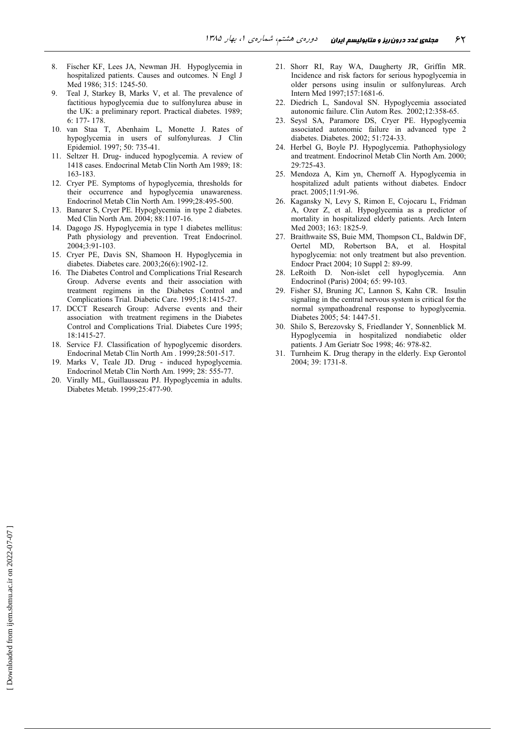- Fischer KF, Lees JA, Newman JH. Hypoglycemia in hospitalized patients. Causes and outcomes. N Engl J Med 1986; 315: 1245-50.
- $\mathbf{Q}$ Teal J, Starkey B, Marks V, et al. The prevalence of factitious hypoglycemia due to sulfonylurea abuse in the UK: a preliminary report. Practical diabetes. 1989;  $6:177-178$
- 10. van Staa T, Abenhaim L, Monette J. Rates of hypoglycemia in users of sulfonylureas. J Clin Epidemiol. 1997; 50: 735-41.
- 11. Seltzer H. Drug- induced hypoglycemia. A review of 1418 cases. Endocrinal Metab Clin North Am 1989; 18: 163-183.
- 12. Cryer PE. Symptoms of hypoglycemia, thresholds for their occurrence and hypoglycemia unawareness. Endocrinol Metab Clin North Am. 1999;28:495-500.
- 13. Banarer S, Cryer PE. Hypoglycemia in type 2 diabetes. Med Clin North Am. 2004; 88:1107-16.
- 14. Dagogo JS. Hypoglycemia in type 1 diabetes mellitus: Path physiology and prevention. Treat Endocrinol.  $2004.3.91-103$
- 15. Cryer PE, Davis SN, Shamoon H. Hypoglycemia in diabetes. Diabetes care. 2003;26(6):1902-12.
- 16. The Diabetes Control and Complications Trial Research Group. Adverse events and their association with treatment regimens in the Diabetes Control and Complications Trial. Diabetic Care. 1995;18:1415-27.
- 17. DCCT Research Group: Adverse events and their association with treatment regimens in the Diabetes Control and Complications Trial. Diabetes Cure 1995; 18:1415-27.
- 18. Service FJ. Classification of hypoglycemic disorders. Endocrinal Metab Clin North Am. 1999;28:501-517.
- 19. Marks V, Teale JD. Drug induced hypoglycemia. Endocrinol Metab Clin North Am. 1999; 28: 555-77.
- 20. Virally ML, Guillausseau PJ. Hypoglycemia in adults. Diabetes Metab. 1999;25:477-90.
- 21. Shorr RI, Ray WA, Daugherty JR, Griffin MR. Incidence and risk factors for serious hypoglycemia in older persons using insulin or sulfonylureas. Arch Intern Med 1997;157:1681-6.
- 22. Diedrich L, Sandoval SN. Hypoglycemia associated autonomic failure. Clin Autom Res. 2002;12:358-65.
- 23. Seysl SA, Paramore DS, Cryer PE. Hypoglycemia associated autonomic failure in advanced type 2 diabetes. Diabetes. 2002; 51:724-33.
- 24. Herbel G, Boyle PJ. Hypoglycemia. Pathophysiology and treatment. Endocrinol Metab Clin North Am. 2000;  $29.725 - 43$
- 25. Mendoza A, Kim yn, Chernoff A. Hypoglycemia in hospitalized adult patients without diabetes. Endocr pract. 2005;11:91-96.
- 26. Kagansky N, Levy S, Rimon E, Cojocaru L, Fridman A, Ozer Z, et al. Hypoglycemia as a predictor of mortality in hospitalized elderly patients. Arch Intern Med 2003; 163: 1825-9.
- 27. Braithwaite SS, Buie MM, Thompson CL, Baldwin DF, Oertel MD, Robertson BA, et al. Hospital hypoglycemia: not only treatment but also prevention. Endocr Pract 2004; 10 Suppl 2: 89-99.
- 28. LeRoith D. Non-islet cell hypoglycemia. Ann Endocrinol (Paris) 2004; 65: 99-103.
- 29. Fisher SJ, Bruning JC, Lannon S, Kahn CR. Insulin signaling in the central nervous system is critical for the normal sympathoadrenal response to hypoglycemia. Diabetes 2005; 54: 1447-51.
- 30. Shilo S, Berezovsky S, Friedlander Y, Sonnenblick M. Hypoglycemia in hospitalized nondiabetic older patients. J Am Geriatr Soc 1998; 46: 978-82.
- 31. Turnheim K. Drug therapy in the elderly. Exp Gerontol 2004; 39: 1731-8.